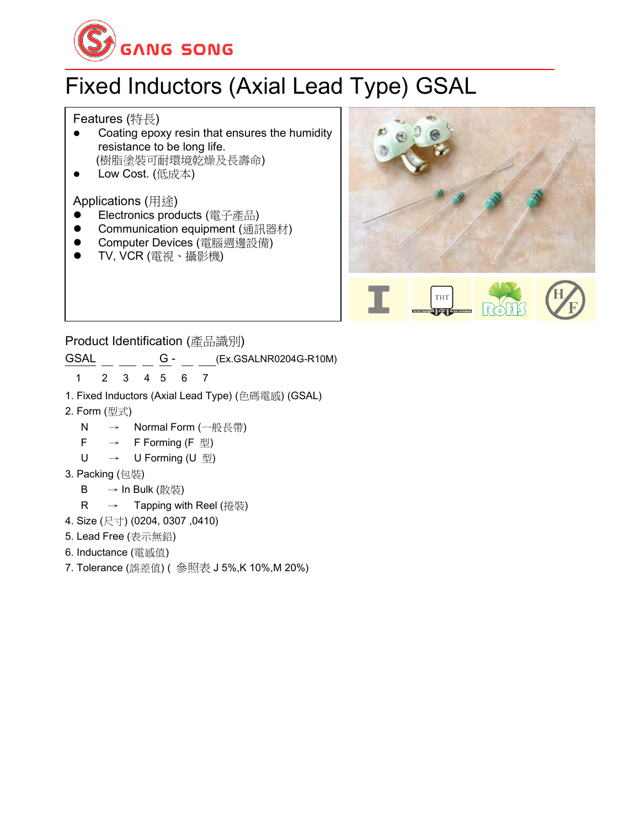

# Fixed Inductors (Axial Lead Type) GSAL

Features (特長)

- Coating epoxy resin that ensures the humidity resistance to be long life. (樹脂塗裝可耐環境乾燥及長壽命)
- Low Cost. (低成本)

Applications (用途)

- ⚫ Electronics products (電子產品)
- ⚫ Communication equipment (通訊器材)
- Computer Devices (電腦週邊設備)
- ⚫ TV, VCR (電視、攝影機)





Product Identification (產品識別)

 $\overline{GSAL}$   $\frac{G - G - G}{G - G}$  (Ex.GSALNR0204G-R10M)

1 2 3 4 5 6 7

- 1. Fixed Inductors (Axial Lead Type) (色碼電感) (GSAL)
- 2. Form (型式)
	- N → Normal Form (一般長帶)
	- $F \rightarrow F$  F Forming (F  $\mathbb{Z}$ )
	- U → U Forming (U 型)
- 3. Packing (包裝)
	- B → In Bulk (散裝)
	- R → Tapping with Reel (捲裝)
- 4. Size (尺寸) (0204, 0307 ,0410)
- 5. Lead Free (表示無鉛)
- 6. Inductance (電感值)
- 7. Tolerance (誤差值) ( 參照表 J 5%,K 10%,M 20%)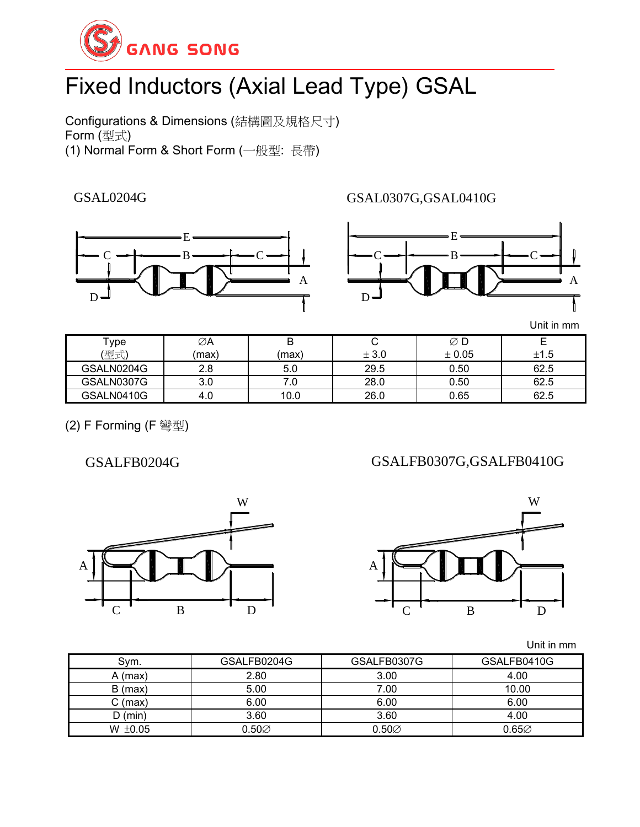

# Fixed Inductors (Axial Lead Type) GSAL

Configurations & Dimensions (結構圖及規格尺寸) Form (型式) (1) Normal Form & Short Form (一般型: 長帶)

GSAL0204G



GSAL0307G,GSAL0410G



Unit in mm

| Type<br>(型式) | ∅A<br>(max) | B<br>(max) | ັ<br>± 3.0 | $\varnothing$ D<br>± 0.05 | ±1.5 |
|--------------|-------------|------------|------------|---------------------------|------|
| GSALN0204G   | 2.8         | 5.0        | 29.5       | 0.50                      | 62.5 |
| GSALN0307G   | 3.0         |            | 28.0       | 0.50                      | 62.5 |
| GSALN0410G   | 4.U         | 10.0       | 26.0       | 0.65                      | 62.5 |

(2) F Forming (F 彎型)

GSALFB0204G

GSALFB0307G,GSALFB0410G





Unit in mm

| Sym.         | GSALFB0204G       | GSALFB0307G | GSALFB0410G |
|--------------|-------------------|-------------|-------------|
| $A$ (max)    | 2.80              | 3.00        | 4.00        |
| $B$ (max)    | 5.00              | 7.00        | 10.00       |
| C (max)      | 6.00              | 6.00        | 6.00        |
| $D$ (min)    | 3.60              | 3.60        | 4.00        |
| W $\pm 0.05$ | $0.50\varnothing$ | $0.50\%$    | 0.65∅       |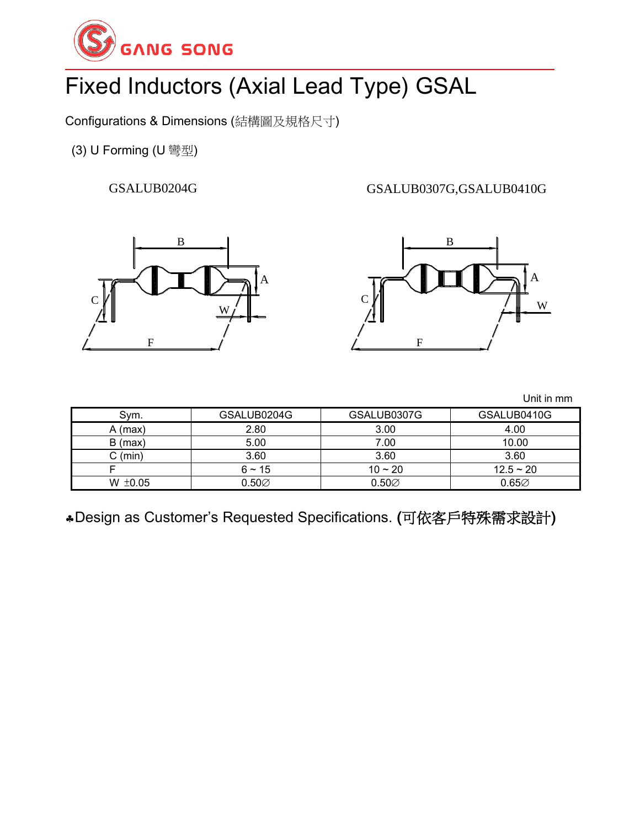

# Fixed Inductors (Axial Lead Type) GSAL

Configurations & Dimensions (結構圖及規格尺寸)

(3) U Forming (U 彎型)

GSALUB0204G

GSALUB0307G,GSALUB0410G





Unit in mm

| Sym.              | GSALUB0204G       | GSALUB0307G       | GSALUB0410G |
|-------------------|-------------------|-------------------|-------------|
| A (max)           | 2.80              | 3.00              | 4.00        |
| $B$ (max)         | 5.00              | 7.00              | 10.00       |
| $C \text{ (min)}$ | 3.60              | 3.60              | 3.60        |
|                   | $6 - 15$          | $10 - 20$         | $12.5 - 20$ |
| W $\pm 0.05$      | $0.50\varnothing$ | $0.50\varnothing$ | $0.65\%$    |

Design as Customer's Requested Specifications. (可依客戶特殊需求設計)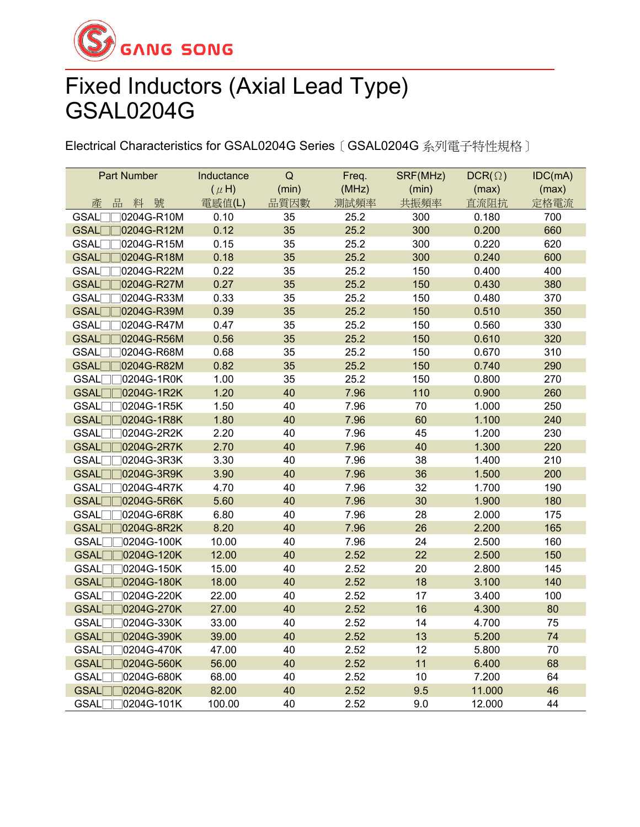

## Fixed Inductors (Axial Lead Type) GSAL0204G

Electrical Characteristics for GSAL0204G Series〔GSAL0204G 系列電子特性規格〕

| Part Number                     | Inductance | $\mathsf Q$ | Freq. | SRF(MHz) | $DCR(\Omega)$ | IDC(mA) |
|---------------------------------|------------|-------------|-------|----------|---------------|---------|
|                                 | $(\mu H)$  | (min)       | (MHz) | (min)    | (max)         | (max)   |
| 品<br>號<br>產<br>料                | 電感值(L)     | 品質因數        | 測試頻率  | 共振頻率     | 直流阻抗          | 定格電流    |
| GSAL<br>0204G-R10M              | 0.10       | 35          | 25.2  | 300      | 0.180         | 700     |
| 0204G-R12M<br><b>GSAL</b>       | 0.12       | 35          | 25.2  | 300      | 0.200         | 660     |
| GSAL<br>0204G-R15M              | 0.15       | 35          | 25.2  | 300      | 0.220         | 620     |
| <b>GSAL</b><br>0204G-R18M       | 0.18       | 35          | 25.2  | 300      | 0.240         | 600     |
| <b>GSAL</b><br>0204G-R22M       | 0.22       | 35          | 25.2  | 150      | 0.400         | 400     |
| GSAL <sup></sup><br>0204G-R27M  | 0.27       | 35          | 25.2  | 150      | 0.430         | 380     |
| GSAL[<br>0204G-R33M             | 0.33       | 35          | 25.2  | 150      | 0.480         | 370     |
| GSAL<br>0204G-R39M              | 0.39       | 35          | 25.2  | 150      | 0.510         | 350     |
| <b>GSAL</b><br>0204G-R47M       | 0.47       | 35          | 25.2  | 150      | 0.560         | 330     |
| <b>GSAL</b><br>0204G-R56M       | 0.56       | 35          | 25.2  | 150      | 0.610         | 320     |
| GSAL[<br>0204G-R68M             | 0.68       | 35          | 25.2  | 150      | 0.670         | 310     |
| GSAL[<br>0204G-R82M             | 0.82       | 35          | 25.2  | 150      | 0.740         | 290     |
| GSAL[<br>0204G-1R0K             | 1.00       | 35          | 25.2  | 150      | 0.800         | 270     |
| <b>GSAL</b><br>0204G-1R2K       | 1.20       | 40          | 7.96  | 110      | 0.900         | 260     |
| GSAL<br>0204G-1R5K              | 1.50       | 40          | 7.96  | 70       | 1.000         | 250     |
| <b>GSAL</b><br>0204G-1R8K       | 1.80       | 40          | 7.96  | 60       | 1.100         | 240     |
| <b>GSAL</b><br>0204G-2R2K       | 2.20       | 40          | 7.96  | 45       | 1.200         | 230     |
| GSAL<br>0204G-2R7K              | 2.70       | 40          | 7.96  | 40       | 1.300         | 220     |
| GSAL[<br>0204G-3R3K             | 3.30       | 40          | 7.96  | 38       | 1.400         | 210     |
| <b>GSAL</b><br>0204G-3R9K       | 3.90       | 40          | 7.96  | 36       | 1.500         | 200     |
| <b>GSAL</b><br>0204G-4R7K       | 4.70       | 40          | 7.96  | 32       | 1.700         | 190     |
| GSAL[<br>0204G-5R6K             | 5.60       | 40          | 7.96  | 30       | 1.900         | 180     |
| <b>GSAL</b><br>0204G-6R8K       | 6.80       | 40          | 7.96  | 28       | 2.000         | 175     |
| <b>GSAL</b><br>0204G-8R2K       | 8.20       | 40          | 7.96  | 26       | 2.200         | 165     |
| <b>GSAL</b><br>0204G-100K       | 10.00      | 40          | 7.96  | 24       | 2.500         | 160     |
| GSAL[<br>0204G-120K             | 12.00      | 40          | 2.52  | 22       | 2.500         | 150     |
| GSAL[<br>0204G-150K             | 15.00      | 40          | 2.52  | 20       | 2.800         | 145     |
| <b>GSAL</b><br>0204G-180K       | 18.00      | 40          | 2.52  | 18       | 3.100         | 140     |
| <b>GSAL</b><br>0204G-220K       | 22.00      | 40          | 2.52  | 17       | 3.400         | 100     |
| <b>GSAL</b><br>0204G-270K       | 27.00      | 40          | 2.52  | 16       | 4.300         | 80      |
| 0204G-330K<br>GSAL <sub>[</sub> | 33.00      | 40          | 2.52  | 14       | 4.700         | 75      |
| 70204G-390K<br><b>GSAL</b> □    | 39.00      | 40          | 2.52  | 13       | 5.200         | 74      |
| GSAL[<br>0204G-470K             | 47.00      | 40          | 2.52  | 12       | 5.800         | 70      |
| GSAL <sub>[</sub><br>0204G-560K | 56.00      | 40          | 2.52  | 11       | 6.400         | 68      |
| GSAL <sub>[</sub><br>0204G-680K | 68.00      | 40          | 2.52  | 10       | 7.200         | 64      |
| <b>GSAL</b><br>0204G-820K       | 82.00      | 40          | 2.52  | 9.5      | 11.000        | 46      |
| <b>GSAL</b><br>0204G-101K       | 100.00     | 40          | 2.52  | 9.0      | 12.000        | 44      |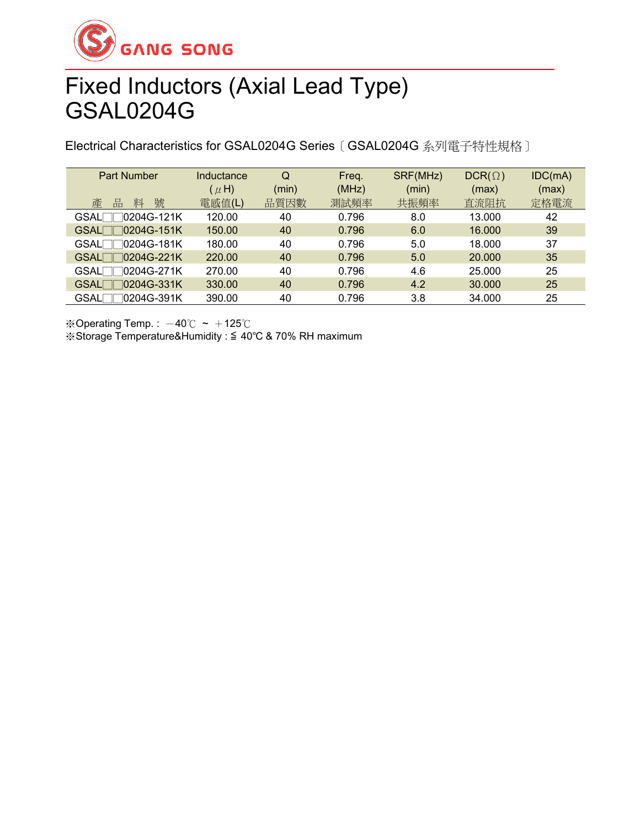

### Fixed Inductors (Axial Lead Type) GSAL0204G

Electrical Characteristics for GSAL0204G Series〔GSAL0204G 系列電子特性規格〕

| Part Number                  | Inductance<br>$(\mu H)$ | Q<br>(min) | Freq.<br>(MHz) | SRF(MHz)<br>(min) | $DCR(\Omega)$<br>(max) | IDC(mA)<br>(max) |
|------------------------------|-------------------------|------------|----------------|-------------------|------------------------|------------------|
| 號<br>產<br>品<br>料             | 電感值(L)                  | 品質因數       | 測試頻率           | 共振頻率              | 直流阻抗                   | 定格電流             |
| GSAL <sup>1</sup> 0204G-121K | 120.00                  | 40         | 0.796          | 8.0               | 13.000                 | 42               |
| GSAL□□0204G-151K             | 150.00                  | 40         | 0.796          | 6.0               | 16,000                 | 39               |
| GSAL□□0204G-181K             | 180.00                  | 40         | 0.796          | 5.0               | 18.000                 | 37               |
| GSAL□□0204G-221K             | 220,00                  | 40         | 0.796          | 5.0               | 20.000                 | 35               |
| GSAL□□0204G-271K             | 270.00                  | 40         | 0.796          | 4.6               | 25.000                 | 25               |
| GSAL <sup>1</sup> 0204G-331K | 330.00                  | 40         | 0.796          | 4.2               | 30.000                 | 25               |
| ∃0204G-391K<br>GSALΓ         | 390.00                  | 40         | 0.796          | 3.8               | 34.000                 | 25               |

※Operating Temp.:  $-40^{\circ}$ C ~  $+125^{\circ}$ C

※Storage Temperature&Humidity : ≦ 40℃ & 70% RH maximum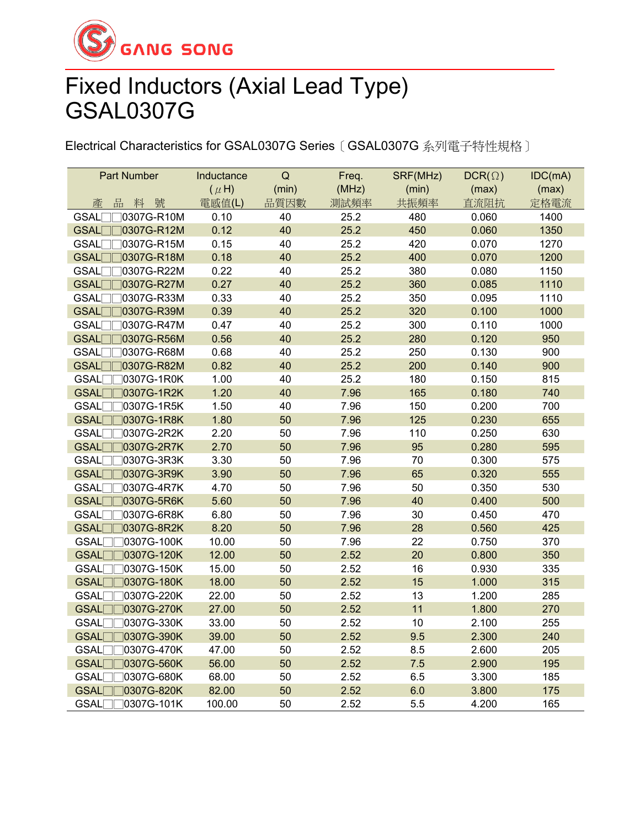

### Fixed Inductors (Axial Lead Type) GSAL0307G

Electrical Characteristics for GSAL0307G Series〔GSAL0307G 系列電子特性規格〕

| <b>Part Number</b>              | Inductance | $\mathsf Q$ | Freq. | SRF(MHz) | $DCR(\Omega)$ | IDC(mA) |
|---------------------------------|------------|-------------|-------|----------|---------------|---------|
|                                 | $(\mu H)$  | (min)       | (MHz) | (min)    | (max)         | (max)   |
| 品<br>料號<br>產                    | 電感值(L)     | 品質因數        | 測試頻率  | 共振頻率     | 直流阻抗          | 定格電流    |
| 0307G-R10M<br><b>GSAL</b>       | 0.10       | 40          | 25.2  | 480      | 0.060         | 1400    |
| 0307G-R12M<br><b>GSAL</b>       | 0.12       | 40          | 25.2  | 450      | 0.060         | 1350    |
| <b>GSAL</b><br>0307G-R15M       | 0.15       | 40          | 25.2  | 420      | 0.070         | 1270    |
| GSAL<br>0307G-R18M              | 0.18       | 40          | 25.2  | 400      | 0.070         | 1200    |
| <b>GSAL</b><br>0307G-R22M       | 0.22       | 40          | 25.2  | 380      | 0.080         | 1150    |
| GSAL <sup></sup><br>0307G-R27M  | 0.27       | 40          | 25.2  | 360      | 0.085         | 1110    |
| <b>GSAL</b><br>0307G-R33M       | 0.33       | 40          | 25.2  | 350      | 0.095         | 1110    |
| GSAL[<br>0307G-R39M             | 0.39       | 40          | 25.2  | 320      | 0.100         | 1000    |
| <b>GSAL</b><br>0307G-R47M       | 0.47       | 40          | 25.2  | 300      | 0.110         | 1000    |
| GSAL <sub>[</sub><br>0307G-R56M | 0.56       | 40          | 25.2  | 280      | 0.120         | 950     |
| GSAL[<br>0307G-R68M             | 0.68       | 40          | 25.2  | 250      | 0.130         | 900     |
| <b>GSAL</b><br>0307G-R82M       | 0.82       | 40          | 25.2  | 200      | 0.140         | 900     |
| GSAL[<br>0307G-1R0K             | 1.00       | 40          | 25.2  | 180      | 0.150         | 815     |
| <b>GSAL</b><br>0307G-1R2K       | 1.20       | 40          | 7.96  | 165      | 0.180         | 740     |
| GSAL[<br>0307G-1R5K             | 1.50       | 40          | 7.96  | 150      | 0.200         | 700     |
| <b>GSAL</b><br>0307G-1R8K       | 1.80       | 50          | 7.96  | 125      | 0.230         | 655     |
| <b>GSAL</b><br>0307G-2R2K       | 2.20       | 50          | 7.96  | 110      | 0.250         | 630     |
| <b>GSAL</b><br>0307G-2R7K       | 2.70       | 50          | 7.96  | 95       | 0.280         | 595     |
| GSAL[<br>0307G-3R3K             | 3.30       | 50          | 7.96  | 70       | 0.300         | 575     |
| GSAL[<br>0307G-3R9K             | 3.90       | 50          | 7.96  | 65       | 0.320         | 555     |
| <b>GSAL</b><br>0307G-4R7K       | 4.70       | 50          | 7.96  | 50       | 0.350         | 530     |
| <b>GSAL</b><br>0307G-5R6K       | 5.60       | 50          | 7.96  | 40       | 0.400         | 500     |
| 0307G-6R8K<br><b>GSAL</b>       | 6.80       | 50          | 7.96  | 30       | 0.450         | 470     |
| GSAL[<br>0307G-8R2K             | 8.20       | 50          | 7.96  | 28       | 0.560         | 425     |
| <b>GSAL</b><br>0307G-100K       | 10.00      | 50          | 7.96  | 22       | 0.750         | 370     |
| <b>GSAL</b><br>0307G-120K       | 12.00      | 50          | 2.52  | 20       | 0.800         | 350     |
| <b>GSAL</b><br>0307G-150K       | 15.00      | 50          | 2.52  | 16       | 0.930         | 335     |
| <b>GSAL</b><br>0307G-180K       | 18.00      | 50          | 2.52  | 15       | 1.000         | 315     |
| <b>GSAL</b><br>0307G-220K       | 22.00      | 50          | 2.52  | 13       | 1.200         | 285     |
| <b>GSAL</b><br>0307G-270K       | 27.00      | 50          | 2.52  | 11       | 1.800         | 270     |
| <b>GSAL</b><br>0307G-330K       | 33.00      | 50          | 2.52  | 10       | 2.100         | 255     |
| 70307G-390K<br>GSAL             | 39.00      | 50          | 2.52  | 9.5      | 2.300         | 240     |
| GSAL[<br>0307G-470K             | 47.00      | 50          | 2.52  | 8.5      | 2.600         | 205     |
| GSAL <sub>[</sub><br>0307G-560K | 56.00      | 50          | 2.52  | 7.5      | 2.900         | 195     |
| GSAL <sub>[</sub><br>0307G-680K | 68.00      | 50          | 2.52  | 6.5      | 3.300         | 185     |
| GSAL<br>0307G-820K              | 82.00      | 50          | 2.52  | 6.0      | 3.800         | 175     |
| <b>GSAL</b><br>0307G-101K       | 100.00     | 50          | 2.52  | 5.5      | 4.200         | 165     |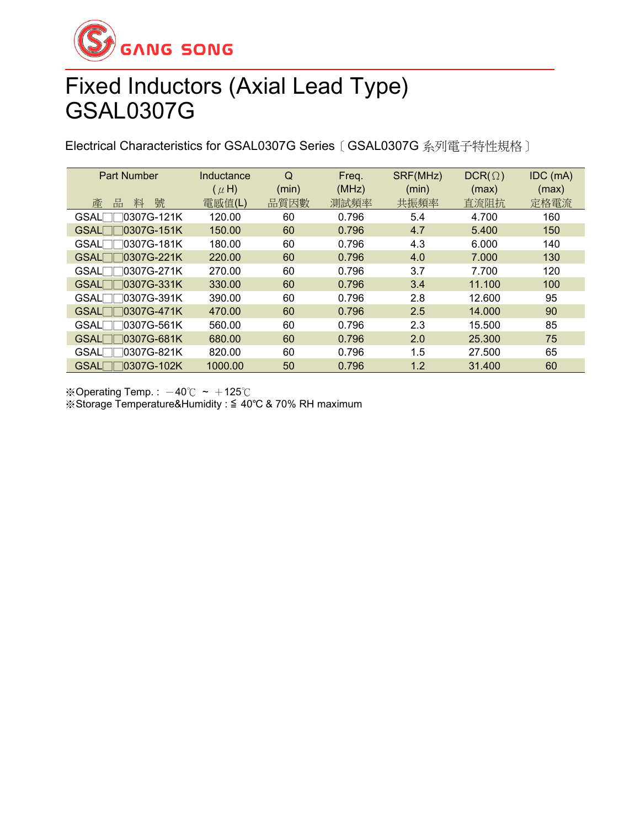

### Fixed Inductors (Axial Lead Type) GSAL0307G

Electrical Characteristics for GSAL0307G Series〔GSAL0307G 系列電子特性規格〕

| <b>Part Number</b>          | Inductance | Q     | Freq. | SRF(MHz) | $DCR(\Omega)$ | IDC (mA) |
|-----------------------------|------------|-------|-------|----------|---------------|----------|
|                             | $(\mu H)$  | (min) | (MHz) | (min)    | (max)         | (max)    |
| 號<br>產<br>品<br>料            | 電感值(L)     | 品質因數  | 測試頻率  | 共振頻率     | 直流阻抗          | 定格電流     |
| <b>GSAL</b><br>10307G-121K  | 120.00     | 60    | 0.796 | 5.4      | 4.700         | 160      |
| 10307G-151K<br><b>GSAL</b>  | 150.00     | 60    | 0.796 | 4.7      | 5.400         | 150      |
| 10307G-181K<br><b>GSAL</b>  | 180.00     | 60    | 0.796 | 4.3      | 6.000         | 140      |
| 10307G-221K<br><b>GSALI</b> | 220.00     | 60    | 0.796 | 4.0      | 7.000         | 130      |
| 0307G-271K<br><b>GSAL</b>   | 270.00     | 60    | 0.796 | 3.7      | 7.700         | 120      |
| 10307G-331K<br><b>GSAL</b>  | 330.00     | 60    | 0.796 | 3.4      | 11.100        | 100      |
| 10307G-391K<br><b>GSAL</b>  | 390.00     | 60    | 0.796 | 2.8      | 12.600        | 95       |
| 10307G-471K<br>GSAL         | 470.00     | 60    | 0.796 | 2.5      | 14.000        | 90       |
| 10307G-561K<br><b>GSAL</b>  | 560.00     | 60    | 0.796 | 2.3      | 15.500        | 85       |
| ]0307G-681K<br><b>GSAL</b>  | 680.00     | 60    | 0.796 | 2.0      | 25.300        | 75       |
| 10307G-821K<br><b>GSAL</b>  | 820.00     | 60    | 0.796 | 1.5      | 27.500        | 65       |
| 10307G-102K<br><b>GSAL</b>  | 1000.00    | 50    | 0.796 | 1.2      | 31.400        | 60       |

※Operating Temp.:  $-40^{\circ}$ C ~  $+125^{\circ}$ C ※Storage Temperature&Humidity : ≦ 40℃ & 70% RH maximum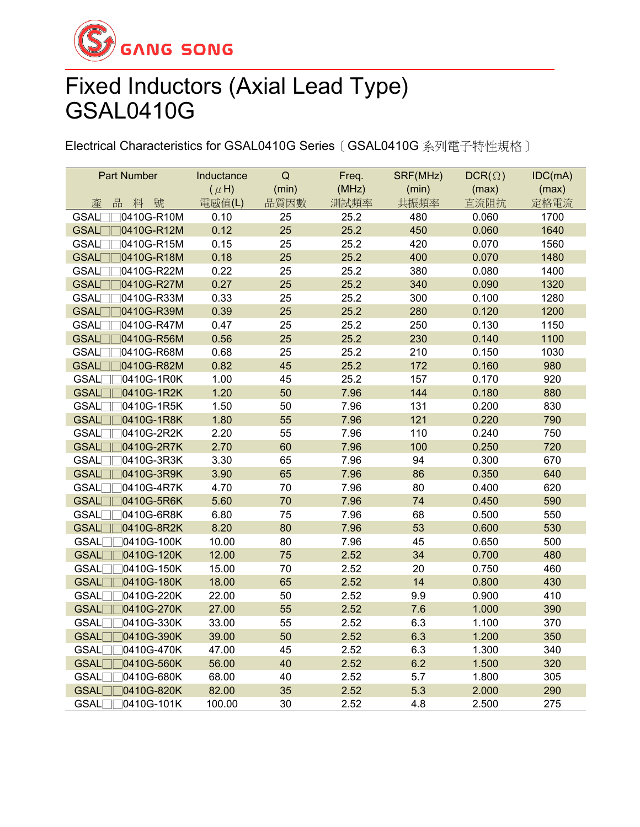

## Fixed Inductors (Axial Lead Type) GSAL0410G

Electrical Characteristics for GSAL0410G Series〔GSAL0410G 系列電子特性規格〕

| <b>Part Number</b>              | Inductance | $\mathsf Q$ | Freq. | SRF(MHz) | $DCR(\Omega)$ | IDC(mA) |
|---------------------------------|------------|-------------|-------|----------|---------------|---------|
|                                 | $(\mu H)$  | (min)       | (MHz) | (min)    | (max)         | (max)   |
| 品料號<br>產                        | 電感值(L)     | 品質因數        | 測試頻率  | 共振頻率     | 直流阻抗          | 定格電流    |
| 10410G-R10M<br><b>GSAL</b>      | 0.10       | 25          | 25.2  | 480      | 0.060         | 1700    |
| $\sqrt{0410G - R12M}$<br>GSAL   | 0.12       | 25          | 25.2  | 450      | 0.060         | 1640    |
| 0410G-R15M<br>GSAL              | 0.15       | 25          | 25.2  | 420      | 0.070         | 1560    |
| <b>GSAL</b><br>0410G-R18M       | 0.18       | 25          | 25.2  | 400      | 0.070         | 1480    |
| GSAL <sup></sup><br>0410G-R22M  | 0.22       | 25          | 25.2  | 380      | 0.080         | 1400    |
| □0410G-R27M<br>GSAL             | 0.27       | 25          | 25.2  | 340      | 0.090         | 1320    |
| <b>GSAL</b><br>0410G-R33M       | 0.33       | 25          | 25.2  | 300      | 0.100         | 1280    |
| 0410G-R39M<br><b>GSAL</b>       | 0.39       | 25          | 25.2  | 280      | 0.120         | 1200    |
| 10410G-R47M<br><b>GSAL</b>      | 0.47       | 25          | 25.2  | 250      | 0.130         | 1150    |
| GSAL<br>70410G-R56M             | 0.56       | 25          | 25.2  | 230      | 0.140         | 1100    |
| GSAL[<br>0410G-R68M             | 0.68       | 25          | 25.2  | 210      | 0.150         | 1030    |
| <b>GSAL</b><br>0410G-R82M       | 0.82       | 45          | 25.2  | 172      | 0.160         | 980     |
| GSAL[<br>0410G-1R0K             | 1.00       | 45          | 25.2  | 157      | 0.170         | 920     |
| 0410G-1R2K<br><b>GSAL</b>       | 1.20       | 50          | 7.96  | 144      | 0.180         | 880     |
| <b>GSAL</b><br>0410G-1R5K       | 1.50       | 50          | 7.96  | 131      | 0.200         | 830     |
| <b>GSAL</b><br>0410G-1R8K       | 1.80       | 55          | 7.96  | 121      | 0.220         | 790     |
| <b>GSAL</b><br>0410G-2R2K       | 2.20       | 55          | 7.96  | 110      | 0.240         | 750     |
| <b>GSAL</b><br>0410G-2R7K       | 2.70       | 60          | 7.96  | 100      | 0.250         | 720     |
| GSAL[<br>0410G-3R3K             | 3.30       | 65          | 7.96  | 94       | 0.300         | 670     |
| <b>GSAL</b><br>0410G-3R9K       | 3.90       | 65          | 7.96  | 86       | 0.350         | 640     |
| GSAL <sub>[</sub><br>0410G-4R7K | 4.70       | 70          | 7.96  | 80       | 0.400         | 620     |
| <b>GSAL</b><br>0410G-5R6K       | 5.60       | 70          | 7.96  | 74       | 0.450         | 590     |
| <b>GSAL</b><br>0410G-6R8K       | 6.80       | 75          | 7.96  | 68       | 0.500         | 550     |
| GSAL <sub>[</sub><br>0410G-8R2K | 8.20       | 80          | 7.96  | 53       | 0.600         | 530     |
| <b>GSAL</b><br>0410G-100K       | 10.00      | 80          | 7.96  | 45       | 0.650         | 500     |
| GSAL[<br>0410G-120K             | 12.00      | 75          | 2.52  | 34       | 0.700         | 480     |
| <b>GSAL</b><br>0410G-150K       | 15.00      | 70          | 2.52  | 20       | 0.750         | 460     |
| <b>GSAL</b><br>0410G-180K       | 18.00      | 65          | 2.52  | 14       | 0.800         | 430     |
| GSAL<br>0410G-220K              | 22.00      | 50          | 2.52  | 9.9      | 0.900         | 410     |
| <b>GSAL</b><br>0410G-270K       | 27.00      | 55          | 2.52  | 7.6      | 1.000         | 390     |
| <b>GSAL</b><br>0410G-330K       | 33.00      | 55          | 2.52  | 6.3      | 1.100         | 370     |
| <b>GSAL</b><br>0410G-390K       | 39.00      | 50          | 2.52  | 6.3      | 1.200         | 350     |
| <b>GSAL</b><br>0410G-470K       | 47.00      | 45          | 2.52  | 6.3      | 1.300         | 340     |
| GSAL[<br>0410G-560K             | 56.00      | 40          | 2.52  | 6.2      | 1.500         | 320     |
| GSAL[<br>0410G-680K             | 68.00      | 40          | 2.52  | 5.7      | 1.800         | 305     |
| <b>GSAL</b><br>0410G-820K       | 82.00      | 35          | 2.52  | 5.3      | 2.000         | 290     |
| <b>GSAL</b><br>0410G-101K       | 100.00     | 30          | 2.52  | 4.8      | 2.500         | 275     |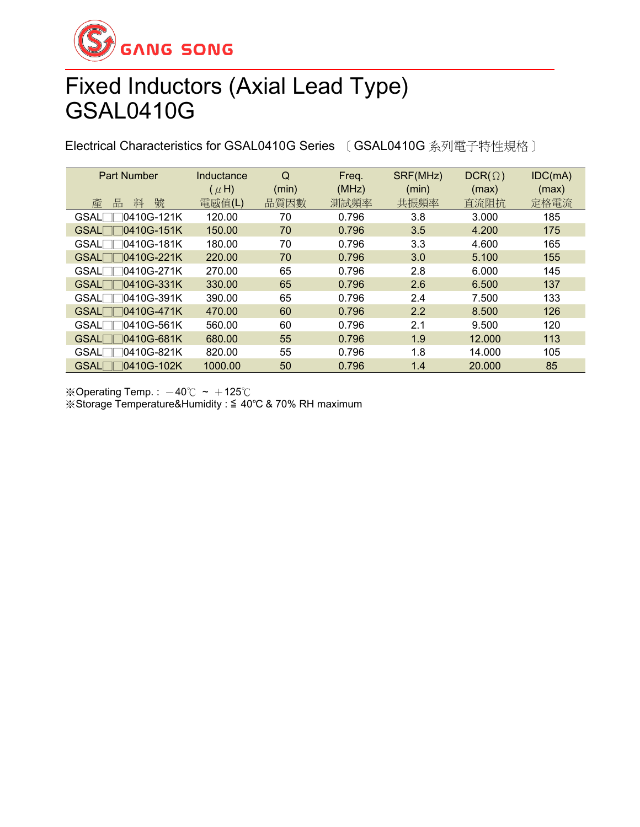

## Fixed Inductors (Axial Lead Type) GSAL0410G

Electrical Characteristics for GSAL0410G Series 〔GSAL0410G 系列電子特性規格〕

| <b>Part Number</b>                   | Inductance | Q     | Freq. | SRF(MHz) | $DCR(\Omega)$ | IDC(mA) |
|--------------------------------------|------------|-------|-------|----------|---------------|---------|
|                                      | $(\mu H)$  | (min) | (MHz) | (min)    | (max)         | (max)   |
| 號<br>產<br>品<br>料                     | 電感值(L)     | 品質因數  | 測試頻率  | 共振頻率     | 直流阻抗          | 定格電流    |
| 10410G-121K<br><b>GSAL</b>           | 120.00     | 70    | 0.796 | 3.8      | 3.000         | 185     |
| $\Box$ 0410G-151K<br><b>GSAL</b>     | 150.00     | 70    | 0.796 | 3.5      | 4.200         | 175     |
| $\sqcap$ 0410G-181K<br>$GSAL \Box$   | 180.00     | 70    | 0.796 | 3.3      | 4.600         | 165     |
| GSAL□□0410G-221K                     | 220.00     | 70    | 0.796 | 3.0      | 5.100         | 155     |
| $\bigcap 0410G-271K$<br>$GSAL \Box$  | 270.00     | 65    | 0.796 | 2.8      | 6.000         | 145     |
| $GSAL$ 0410G-331K                    | 330.00     | 65    | 0.796 | 2.6      | 6.500         | 137     |
| GSAL□□0410G-391K                     | 390.00     | 65    | 0.796 | 2.4      | 7.500         | 133     |
| $GSAL$ 0410G-471K                    | 470.00     | 60    | 0.796 | 2.2      | 8.500         | 126     |
| $\bigcap$ 0410G-561K<br><b>GSALE</b> | 560.00     | 60    | 0.796 | 2.1      | 9.500         | 120     |
| ∏0410G-681K<br><b>GSAL</b>           | 680.00     | 55    | 0.796 | 1.9      | 12,000        | 113     |
| 10410G-821K<br><b>GSAL</b>           | 820.00     | 55    | 0.796 | 1.8      | 14.000        | 105     |
| 10410G-102K<br><b>GSAL</b>           | 1000.00    | 50    | 0.796 | 1.4      | 20.000        | 85      |

※Operating Temp.:  $-40^{\circ}$ C ~  $+125^{\circ}$ C ※Storage Temperature&Humidity : ≦ 40℃ & 70% RH maximum